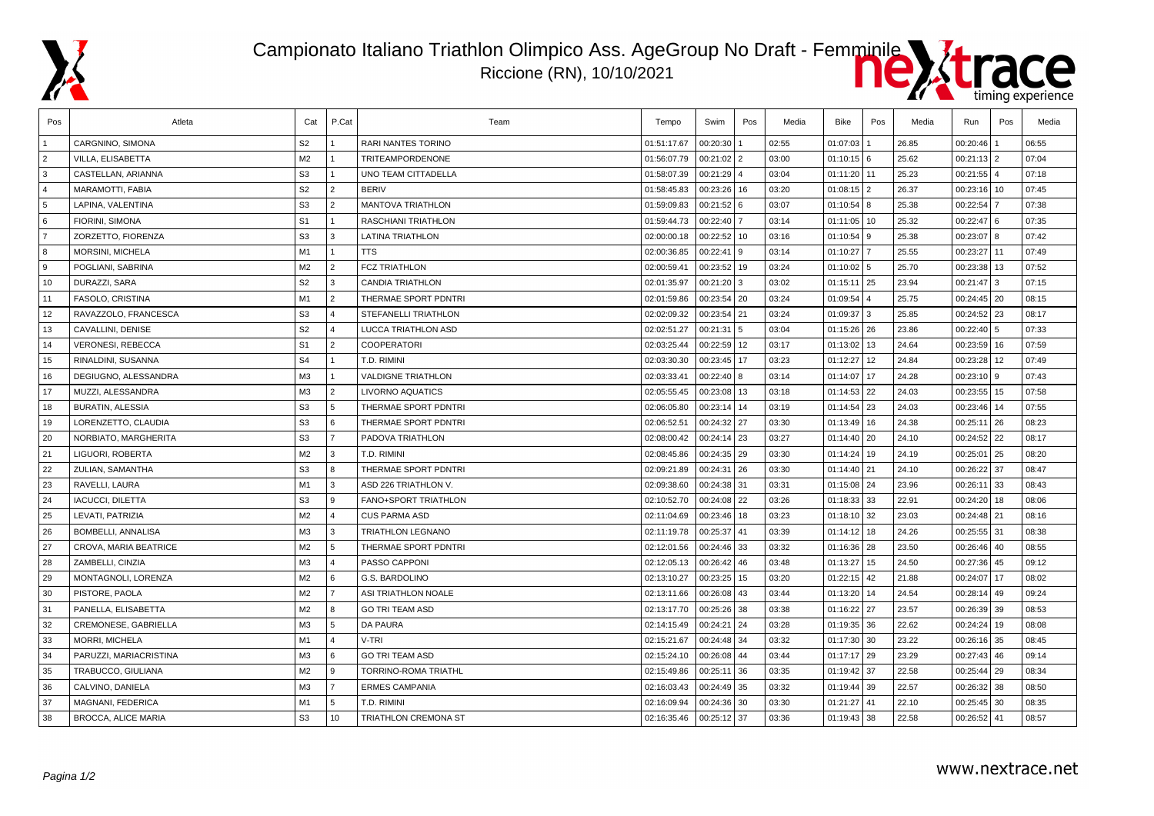

## Campionato Italiano Triathlon Olimpico Ass. AgeGroup No Draft - Femminile

Riccione (RN), 10/10/2021



| Pos            | Atleta                     | Cat            | P.Cat          | Team                       | Tempo       | Swim          | Pos | Media | Bike          | Pos      | Media | Run             | Pos | Media |
|----------------|----------------------------|----------------|----------------|----------------------------|-------------|---------------|-----|-------|---------------|----------|-------|-----------------|-----|-------|
|                | CARGNINO, SIMONA           | S <sub>2</sub> |                | <b>RARI NANTES TORINO</b>  | 01:51:17.67 | 00:20:30      |     | 02:55 | 01:07:03      |          | 26.85 | 00:20:46        |     | 06:55 |
| $\overline{2}$ | VILLA, ELISABETTA          | M <sub>2</sub> | $\mathbf{1}$   | <b>TRITEAMPORDENONE</b>    | 01:56:07.79 | $00:21:02$ 2  |     | 03:00 | $01:10:15$ 6  |          | 25.62 | $00:21:13$   2  |     | 07:04 |
| 3              | CASTELLAN, ARIANNA         | S <sub>3</sub> | $\mathbf{1}$   | <b>UNO TEAM CITTADELLA</b> | 01:58:07.39 | $00:21:29$ 4  |     | 03:04 | 01:11:20      | 11       | 25.23 | 00:21:55        | 4   | 07:18 |
| $\overline{4}$ | MARAMOTTI. FABIA           | S <sub>2</sub> | 2              | <b>BERIV</b>               | 01:58:45.83 | 00:23:26 16   |     | 03:20 | $01:08:15$ 2  |          | 26.37 | $00:23:16$ 10   |     | 07:45 |
| 5              | LAPINA. VALENTINA          | S <sub>3</sub> | $\overline{2}$ | <b>MANTOVA TRIATHLON</b>   | 01:59:09.83 | $00:21:52$ 6  |     | 03:07 | 01:10:54      | 8        | 25.38 | 00:22:54        |     | 07:38 |
| 6              | FIORINI, SIMONA            | S <sub>1</sub> | $\overline{1}$ | <b>RASCHIANI TRIATHLON</b> | 01:59:44.73 | 00:22:40 7    |     | 03:14 | 01:11:05      | 10       | 25.32 | $00:22:47$ 6    |     | 07:35 |
| $\overline{7}$ | ZORZETTO, FIORENZA         | S <sub>3</sub> | 3              | <b>LATINA TRIATHLON</b>    | 02:00:00.18 | $00:22:52$ 10 |     | 03:16 | 01:10:54      | <b>9</b> | 25.38 | $00:23:07$ 8    |     | 07:42 |
| 8              | <b>MORSINI, MICHELA</b>    | M1             | $\mathbf{1}$   | <b>TTS</b>                 | 02:00:36.85 | $00:22:41$ 9  |     | 03:14 | 01:10:27      |          | 25.55 | $00:23:27$ 11   |     | 07:49 |
| 9              | POGLIANI, SABRINA          | M <sub>2</sub> | $\overline{2}$ | <b>FCZ TRIATHLON</b>       | 02:00:59.41 | 00:23:52 19   |     | 03:24 | 01:10:02 5    |          | 25.70 | $00:23:38$ 13   |     | 07:52 |
| 10             | DURAZZI, SARA              | S <sub>2</sub> | 3              | <b>CANDIA TRIATHLON</b>    | 02:01:35.97 | $00:21:20$ 3  |     | 03:02 | 01:15:11      | 25       | 23.94 | $00:21:47$ 3    |     | 07:15 |
| 11             | FASOLO, CRISTINA           | M1             | $\overline{2}$ | THERMAE SPORT PDNTRI       | 02:01:59.86 | 00:23:54 20   |     | 03:24 | 01:09:54      |          | 25.75 | $00:24:45$ 20   |     | 08:15 |
| 12             | RAVAZZOLO, FRANCESCA       | S <sub>3</sub> | $\overline{4}$ | STEFANELLI TRIATHLON       | 02:02:09.32 | 00:23:54 21   |     | 03:24 | 01:09:37      | 3        | 25.85 | $00:24:52$ 23   |     | 08:17 |
| 13             | CAVALLINI, DENISE          | S <sub>2</sub> | $\Delta$       | <b>LUCCA TRIATHLON ASD</b> | 02:02:51.27 | $00:21:31$ 5  |     | 03:04 | 01:15:26 26   |          | 23.86 | $00:22:40$ 5    |     | 07:33 |
| 14             | <b>VERONESI, REBECCA</b>   | S <sub>1</sub> | 2              | <b>COOPERATORI</b>         | 02:03:25.44 | 00:22:59 12   |     | 03:17 | 01:13:02      | 13       | 24.64 | $00:23:59$ 16   |     | 07:59 |
| 15             | RINALDINI, SUSANNA         | S <sub>4</sub> | $\mathbf{1}$   | T.D. RIMINI                | 02:03:30.30 | 00:23:45 17   |     | 03:23 | 01:12:27      | 12       | 24.84 | $00:23:28$ 12   |     | 07:49 |
| 16             | DEGIUGNO, ALESSANDRA       | M <sub>3</sub> | $\mathbf{1}$   | <b>VALDIGNE TRIATHLON</b>  | 02:03:33.41 | $00:22:40$ 8  |     | 03:14 | 01:14:07      | 17       | 24.28 | $00:23:10$ 9    |     | 07:43 |
| 17             | MUZZI, ALESSANDRA          | M3             | $\overline{2}$ | <b>LIVORNO AQUATICS</b>    | 02:05:55.45 | 00:23:08   13 |     | 03:18 | 01:14:53      | 22       | 24.03 | $00:23:55$ 15   |     | 07:58 |
| 18             | <b>BURATIN, ALESSIA</b>    | S <sub>3</sub> | $5^{\circ}$    | THERMAE SPORT PDNTRI       | 02:06:05.80 | $00:23:14$ 14 |     | 03:19 | 01:14:54      | 23       | 24.03 | $00:23:46$ 14   |     | 07:55 |
| 19             | LORENZETTO, CLAUDIA        | S <sub>3</sub> | 6              | THERMAE SPORT PDNTRI       | 02:06:52.51 | 00:24:32 27   |     | 03:30 | 01:13:49      | 16       | 24.38 | $00:25:11$ 26   |     | 08:23 |
| 20             | NORBIATO, MARGHERITA       | S <sub>3</sub> | $\overline{7}$ | PADOVA TRIATHLON           | 02:08:00.42 | 00:24:14 23   |     | 03:27 | 01:14:40 20   |          | 24.10 | $00:24:52$ 22   |     | 08:17 |
| 21             | LIGUORI. ROBERTA           | M <sub>2</sub> | 3              | T.D. RIMINI                | 02:08:45.86 | 00:24:35 29   |     | 03:30 | 01:14:24      | 19       | 24.19 | $00:25:01$ 25   |     | 08:20 |
| 22             | ZULIAN, SAMANTHA           | S <sub>3</sub> | 8              | THERMAE SPORT PDNTRI       | 02:09:21.89 | 00:24:31 26   |     | 03:30 | 01:14:40 21   |          | 24.10 | 00:26:22        | 37  | 08:47 |
| 23             | RAVELLI, LAURA             | M1             | 3              | ASD 226 TRIATHLON V.       | 02:09:38.60 | 00:24:38 31   |     | 03:31 | 01:15:08      | 24       | 23.96 | 00:26:11        | 33  | 08:43 |
| 24             | <b>IACUCCI, DILETTA</b>    | S <sub>3</sub> | 9              | FANO+SPORT TRIATHLON       | 02:10:52.70 | 00:24:08 22   |     | 03:26 | 01:18:33      | 33       | 22.91 | 00:24:20        | 18  | 08:06 |
| 25             | LEVATI, PATRIZIA           | M <sub>2</sub> | $\Delta$       | <b>CUS PARMA ASD</b>       | 02:11:04.69 | $00:23:46$ 18 |     | 03:23 | 01:18:10      | 32       | 23.03 | $00:24:48$ 21   |     | 08:16 |
| 26             | BOMBELLI, ANNALISA         | M3             | 3              | <b>TRIATHLON LEGNANO</b>   | 02:11:19.78 | 00:25:37 41   |     | 03:39 | 01:14:12      | 18       | 24.26 | $00:25:55$ 31   |     | 08:38 |
| 27             | CROVA, MARIA BEATRICE      | M <sub>2</sub> | 5              | THERMAE SPORT PDNTRI       | 02:12:01.56 | 00:24:46 33   |     | 03:32 | $01:16:36$ 28 |          | 23.50 | $00:26:46$ 40   |     | 08:55 |
| 28             | ZAMBELLI, CINZIA           | M <sub>3</sub> | $\overline{4}$ | PASSO CAPPONI              | 02:12:05.13 | 00:26:42 46   |     | 03:48 | 01:13:27      | 15       | 24.50 | $00:27:36$ 45   |     | 09:12 |
| 29             | MONTAGNOLI, LORENZA        | M <sub>2</sub> | 6              | <b>G.S. BARDOLINO</b>      | 02:13:10.27 | 00:23:25 15   |     | 03:20 | 01:22:15 42   |          | 21.88 | $00:24:07$ 17   |     | 08:02 |
| 30             | PISTORE, PAOLA             | M <sub>2</sub> | $\overline{7}$ | ASI TRIATHLON NOALE        | 02:13:11.66 | 00:26:08 43   |     | 03:44 | 01:13:20      | 14       | 24.54 | $00:28:14$ 49   |     | 09:24 |
| 31             | PANELLA, ELISABETTA        | M <sub>2</sub> | 8              | <b>GO TRI TEAM ASD</b>     | 02:13:17.70 | $00:25:26$ 38 |     | 03:38 | 01:16:22      | 27       | 23.57 | $00:26:39$ 39   |     | 08:53 |
| 32             | CREMONESE, GABRIELLA       | M3             | 5              | <b>DA PAURA</b>            | 02:14:15.49 | 00:24:21      | 24  | 03:28 | 01:19:35      | 36       | 22.62 | 00:24:24        | 19  | 08:08 |
| 33             | MORRI, MICHELA             | M1             | $\overline{4}$ | V-TRI                      | 02:15:21.67 | 00:24:48 34   |     | 03:32 | 01:17:30      | 30       | 23.22 | $00:26:16$ 35   |     | 08:45 |
| 34             | PARUZZI, MARIACRISTINA     | M3             | 6              | <b>GO TRI TEAM ASD</b>     | 02:15:24.10 | 00:26:08 44   |     | 03:44 | 01:17:17      | 29       | 23.29 | $00:27:43$ 46   |     | 09:14 |
| 35             | TRABUCCO, GIULIANA         | M <sub>2</sub> | 9              | TORRINO-ROMA TRIATHL       | 02:15:49.86 | $00:25:11$ 36 |     | 03:35 | $01:19:42$ 37 |          | 22.58 | $00:25:44$   29 |     | 08:34 |
| 36             | CALVINO, DANIELA           | M3             | $\overline{7}$ | <b>ERMES CAMPANIA</b>      | 02:16:03.43 | 00:24:49 35   |     | 03:32 | 01:19:44      | 39       | 22.57 | $00:26:32$ 38   |     | 08:50 |
| 37             | MAGNANI, FEDERICA          | M <sub>1</sub> | 5              | T.D. RIMINI                | 02:16:09.94 | 00:24:36 30   |     | 03:30 | 01:21:27      | 41       | 22.10 | $00:25:45$ 30   |     | 08:35 |
| 38             | <b>BROCCA, ALICE MARIA</b> | S <sub>3</sub> | 10             | TRIATHLON CREMONA ST       | 02:16:35.46 | 00:25:12 37   |     | 03:36 | 01:19:43      | 38       | 22.58 | $00:26:52$ 41   |     | 08:57 |